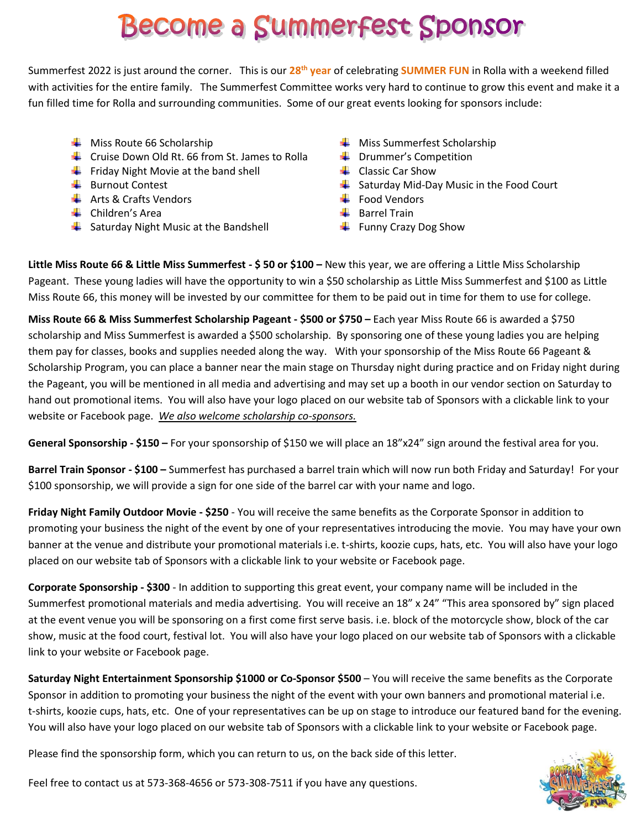# **Become a Summerfest Sponsor**

Summerfest 2022 is just around the corner. This is our 28<sup>th</sup> year of celebrating SUMMER FUN in Rolla with a weekend filled with activities for the entire family. The Summerfest Committee works very hard to continue to grow this event and make it a fun filled time for Rolla and surrounding communities. Some of our great events looking for sponsors include:

- 
- **L** Cruise Down Old Rt. 66 from St. James to Rolla **Lack Latin Drummer's Competition**
- Friday Night Movie at the band shell **Friday Night Movie at the band shell** Classic Car Show
- 
- $\downarrow$  Arts & Crafts Vendors Food Vendors Food Vendors
- $\downarrow$  Children's Area Barrel Train
- $\frac{1}{2}$  Saturday Night Music at the Bandshell Funny Crazy Dog Show
- $\downarrow$  Miss Route 66 Scholarship Miss Summerfest Scholarship
	-
	-
- $\frac{1}{\sqrt{2}}$  Burnout Contest Saturday Mid-Day Music in the Food Court
	-
	-
	-

**Little Miss Route 66 & Little Miss Summerfest - \$ 50 or \$100 –** New this year, we are offering a Little Miss Scholarship Pageant. These young ladies will have the opportunity to win a \$50 scholarship as Little Miss Summerfest and \$100 as Little Miss Route 66, this money will be invested by our committee for them to be paid out in time for them to use for college.

**Miss Route 66 & Miss Summerfest Scholarship Pageant - \$500 or \$750 –** Each year Miss Route 66 is awarded a \$750 scholarship and Miss Summerfest is awarded a \$500 scholarship. By sponsoring one of these young ladies you are helping them pay for classes, books and supplies needed along the way. With your sponsorship of the Miss Route 66 Pageant & Scholarship Program, you can place a banner near the main stage on Thursday night during practice and on Friday night during the Pageant, you will be mentioned in all media and advertising and may set up a booth in our vendor section on Saturday to hand out promotional items. You will also have your logo placed on our website tab of Sponsors with a clickable link to your website or Facebook page. *We also welcome scholarship co-sponsors.*

**General Sponsorship - \$150 –** For your sponsorship of \$150 we will place an 18"x24" sign around the festival area for you.

**Barrel Train Sponsor - \$100 –** Summerfest has purchased a barrel train which will now run both Friday and Saturday! For your \$100 sponsorship, we will provide a sign for one side of the barrel car with your name and logo.

**Friday Night Family Outdoor Movie - \$250** - You will receive the same benefits as the Corporate Sponsor in addition to promoting your business the night of the event by one of your representatives introducing the movie. You may have your own banner at the venue and distribute your promotional materials i.e. t-shirts, koozie cups, hats, etc. You will also have your logo placed on our website tab of Sponsors with a clickable link to your website or Facebook page.

**Corporate Sponsorship - \$300** - In addition to supporting this great event, your company name will be included in the Summerfest promotional materials and media advertising. You will receive an 18" x 24" "This area sponsored by" sign placed at the event venue you will be sponsoring on a first come first serve basis. i.e. block of the motorcycle show, block of the car show, music at the food court, festival lot. You will also have your logo placed on our website tab of Sponsors with a clickable link to your website or Facebook page.

**Saturday Night Entertainment Sponsorship \$1000 or Co-Sponsor \$500** – You will receive the same benefits as the Corporate Sponsor in addition to promoting your business the night of the event with your own banners and promotional material i.e. t-shirts, koozie cups, hats, etc. One of your representatives can be up on stage to introduce our featured band for the evening. You will also have your logo placed on our website tab of Sponsors with a clickable link to your website or Facebook page.

Please find the sponsorship form, which you can return to us, on the back side of this letter.